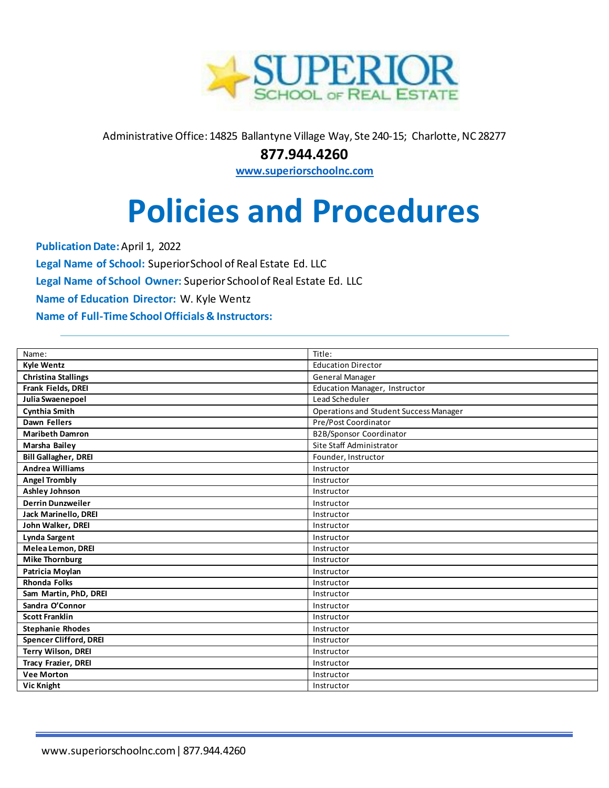

Administrative Office: 14825 Ballantyne Village Way, Ste 240-15; Charlotte, NC 28277

**877.944.4260** 

**[www.superiorschoolnc.com](http://www.superiorschoolnc.com/)**

# **Policies and Procedures**

**Publication Date:** April 1, 2022 **Legal Name of School:** Superior School of Real Estate Ed. LLC **Legal Name of School Owner:** Superior School of Real Estate Ed. LLC **Name of Education Director:** W. Kyle Wentz **Name of Full-Time School Officials & Instructors:**

| Name:                         | Title:                                        |
|-------------------------------|-----------------------------------------------|
| <b>Kyle Wentz</b>             | <b>Education Director</b>                     |
| <b>Christina Stallings</b>    | General Manager                               |
| Frank Fields, DREI            | Education Manager, Instructor                 |
| Julia Swaenepoel              | Lead Scheduler                                |
| <b>Cynthia Smith</b>          | <b>Operations and Student Success Manager</b> |
| Dawn Fellers                  | Pre/Post Coordinator                          |
| <b>Maribeth Damron</b>        | B2B/Sponsor Coordinator                       |
| Marsha Bailey                 | Site Staff Administrator                      |
| <b>Bill Gallagher, DREI</b>   | Founder, Instructor                           |
| <b>Andrea Williams</b>        | Instructor                                    |
| <b>Angel Trombly</b>          | Instructor                                    |
| <b>Ashley Johnson</b>         | Instructor                                    |
| <b>Derrin Dunzweiler</b>      | Instructor                                    |
| Jack Marinello, DREI          | Instructor                                    |
| John Walker, DREI             | Instructor                                    |
| <b>Lynda Sargent</b>          | Instructor                                    |
| Melea Lemon, DREI             | Instructor                                    |
| <b>Mike Thornburg</b>         | Instructor                                    |
| Patricia Moylan               | Instructor                                    |
| <b>Rhonda Folks</b>           | Instructor                                    |
| Sam Martin, PhD, DREI         | Instructor                                    |
| Sandra O'Connor               | Instructor                                    |
| <b>Scott Franklin</b>         | Instructor                                    |
| <b>Stephanie Rhodes</b>       | Instructor                                    |
| <b>Spencer Clifford, DREI</b> | Instructor                                    |
| <b>Terry Wilson, DREI</b>     | Instructor                                    |
| <b>Tracy Frazier, DREI</b>    | Instructor                                    |
| <b>Vee Morton</b>             | Instructor                                    |
| Vic Knight                    | Instructor                                    |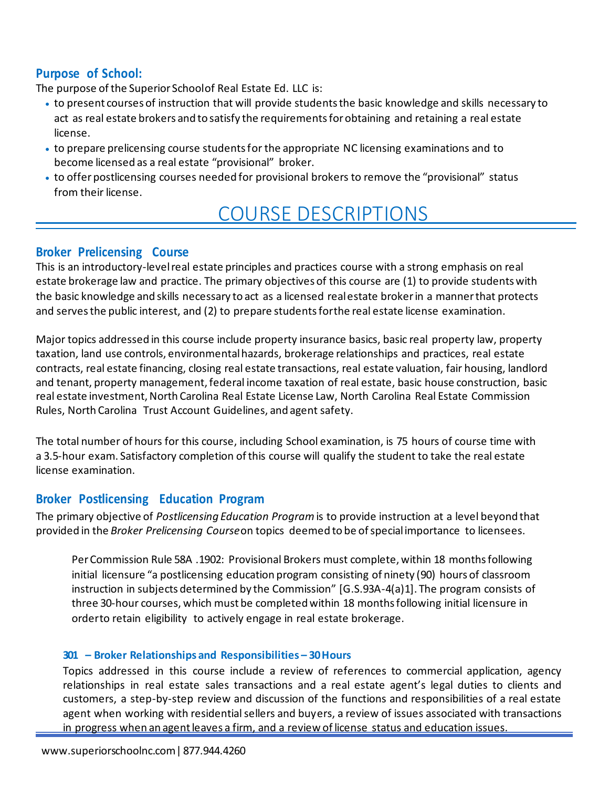# **Purpose of School:**

The purpose of the Superior School of Real Estate Ed. LLC is:

- to present courses of instruction that will provide students the basic knowledge and skills necessary to act as real estate brokers and to satisfy the requirements for obtaining and retaining a real estate license.
- to prepare prelicensing course students for the appropriate NC licensing examinations and to become licensed as a real estate "provisional" broker.
- to offer postlicensing courses needed for provisional brokers to remove the "provisional" status from their license.

# COURSE DESCRIPTIONS

### **Broker Prelicensing Course**

This is an introductory-level real estate principles and practices course with a strong emphasis on real estate brokerage law and practice. The primary objectives of this course are (1) to provide students with the basic knowledge and skills necessary to act as a licensed real estate broker in a manner that protects and serves the public interest, and (2) to prepare students for the real estate license examination.

Major topics addressed in this course include property insurance basics, basic real property law, property taxation, land use controls, environmental hazards, brokerage relationships and practices, real estate contracts, real estate financing, closing real estate transactions, real estate valuation, fair housing, landlord and tenant, property management, federal income taxation of real estate, basic house construction, basic real estate investment, North Carolina Real Estate License Law, North Carolina Real Estate Commission Rules, North Carolina Trust Account Guidelines, and agent safety.

The total number of hours for this course, including School examination, is 75 hours of course time with a 3.5-hour exam. Satisfactory completion of this course will qualify the student to take the real estate license examination.

# **Broker Postlicensing Education Program**

The primary objective of *Postlicensing Education Program* is to provide instruction at a level beyond that provided in the *Broker Prelicensing Course* on topics deemed to be of special importance to licensees.

Per Commission Rule 58A .1902: Provisional Brokers must complete, within 18 months following initial licensure "a postlicensing education program consisting of ninety (90) hours of classroom instruction in subjects determined by the Commission" [G.S.93A-4(a)1]. The program consists of three 30-hour courses, which must be completed within 18 months following initial licensure in orderto retain eligibility to actively engage in real estate brokerage.

#### **301 – Broker Relationships and Responsibilities – 30 Hours**

Topics addressed in this course include a review of references to commercial application, agency relationships in real estate sales transactions and a real estate agent's legal duties to clients and customers, a step-by-step review and discussion of the functions and responsibilities of a real estate agent when working with residential sellers and buyers, a review of issues associated with transactions in progress when an agent leaves a firm, and a review of license status and education issues.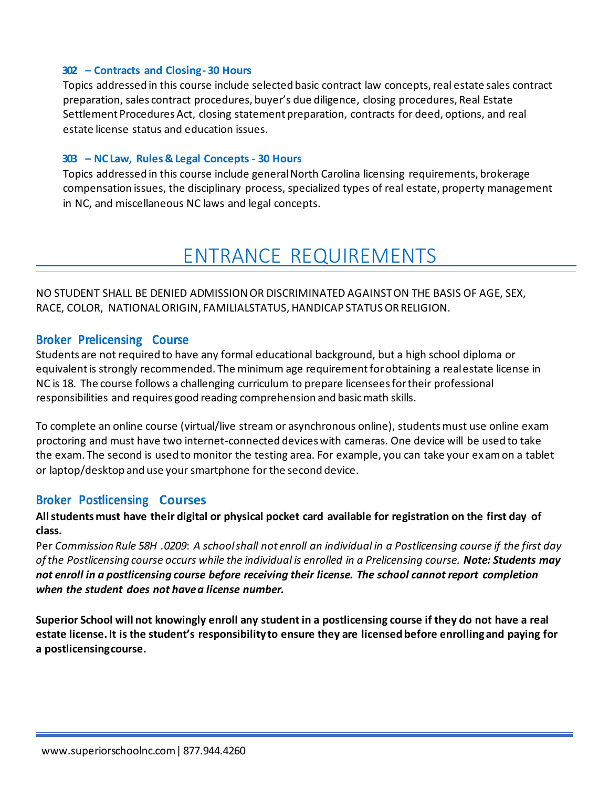#### **302 – Contracts and Closing - 30 Hours**

Topics addressed in this course include selected basic contract law concepts, real estate sales contract preparation, sales contract procedures, buyer's due diligence, closing procedures, Real Estate Settlement Procedures Act, closing statement preparation, contracts for deed, options, and real estate license status and education issues.

#### **303 – NC Law, Rules & Legal Concepts - 30 Hours**

Topics addressed in this course include general North Carolina licensing requirements, brokerage compensation issues, the disciplinary process, specialized types of real estate, property management in NC, and miscellaneous NC laws and legal concepts.

# ENTRANCE REQUIREMENTS

NO STUDENT SHALL BE DENIED ADMISSION OR DISCRIMINATED AGAINST ON THE BASIS OF AGE, SEX, RACE, COLOR, NATIONAL ORIGIN, FAMILIALSTATUS, HANDICAP STATUS OR RELIGION.

#### **Broker Prelicensing Course**

Students are not required to have any formal educational background, but a high school diploma or equivalent is strongly recommended. The minimum age requirement for obtaining a real estate license in NC is 18. The course follows a challenging curriculum to prepare licensees for their professional responsibilities and requires good reading comprehension and basic math skills.

To complete an online course (virtual/live stream or asynchronous online), students must use online exam proctoring and must have two internet-connected devices with cameras. One device will be used to take the exam. The second is used to monitor the testing area. For example, you can take your ex am on a tablet or laptop/desktop and use your smartphone for the second device.

#### **Broker Postlicensing Courses**

#### **All students must have their digital or physical pocket card available for registration on the first day of class.**

Per *Commission Rule 58H .0209*: *A school shall not enroll an individual in a Postlicensing course if the first day of the Postlicensing course occurs while the individual is enrolled in a Prelicensing course. Note: Students may not enroll in a postlicensing course before receiving their license. The school cannot report completion when the student does not have a license number.* 

**Superior School will not knowingly enroll any student in a postlicensing course if they do not have a real estate license. It is the student's responsibility to ensure they are licensed before enrolling and paying for a postlicensing course.**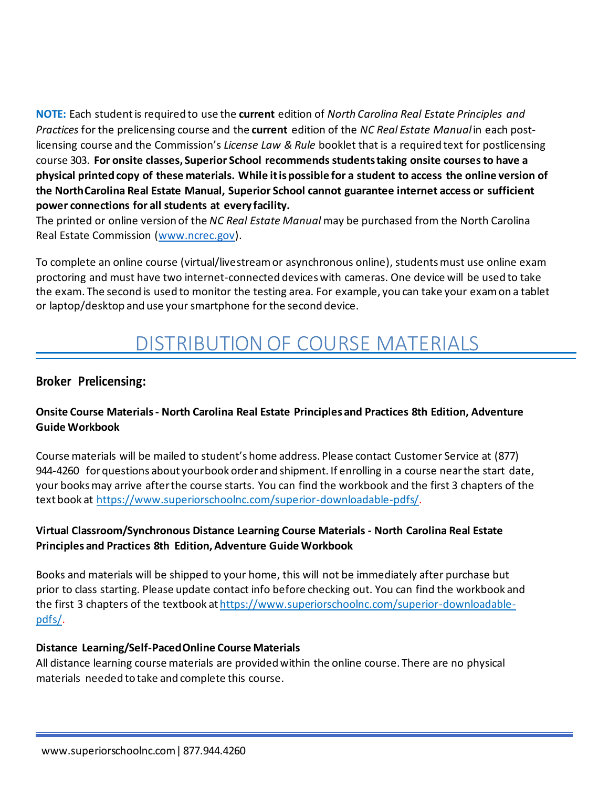**NOTE:** Each student is required to use the **current** edition of *North Carolina Real Estate Principles and Practices* for the prelicensing course and the **current** edition of the *NC Real Estate Manual* in each postlicensing course and the Commission's *License Law & Rule* booklet that is a required text for postlicensing course 303. **For onsite classes, Superior School recommends students taking onsite courses to have a physical printed copy of these materials. While itis possible for a student to access the online version of the North Carolina Real Estate Manual, Superior School cannot guarantee internet access or sufficient power connections for all students at every facility.** 

The printed or online version of the *NC Real Estate Manual* may be purchased from the North Carolina Real Estate Commission [\(www.ncrec.gov\)](http://www.ncrec.gov/).

To complete an online course (virtual/livestream or asynchronous online), students must use online exam proctoring and must have two internet-connected devices with cameras. One device will be used to take the exam. The second is used to monitor the testing area. For example, you can take your exam on a tablet or laptop/desktop and use your smartphone for the second device.

# DISTRIBUTION OF COURSE MATERIALS

# **Broker Prelicensing:**

# **Onsite Course Materials - North Carolina Real Estate Principles and Practices 8th Edition, Adventure Guide Workbook**

Course materials will be mailed to student's home address. Please contact Customer Service at (877) 944-4260 for questions about your book order and shipment. If enrolling in a course near the start date, your books may arrive after the course starts. You can find the workbook and the first 3 chapters of the text book at <https://www.superiorschoolnc.com/superior-downloadable-pdfs/>.

# **Virtual Classroom/Synchronous Distance Learning Course Materials - North Carolina Real Estate Principles and Practices 8th Edition, Adventure Guide Workbook**

Books and materials will be shipped to your home, this will not be immediately after purchase but prior to class starting. Please update contact info before checking out. You can find the workbook and the first 3 chapters of the textbook at https://www.superiorschoolnc.com/superior-downloadable[pdfs/.](https://www.superiorschoolnc.com/superior-downloadable-pdfs/)

#### **Distance Learning/Self-Paced Online Course Materials**

All distance learning course materials are provided within the online course. There are no physical materials needed to take and complete this course.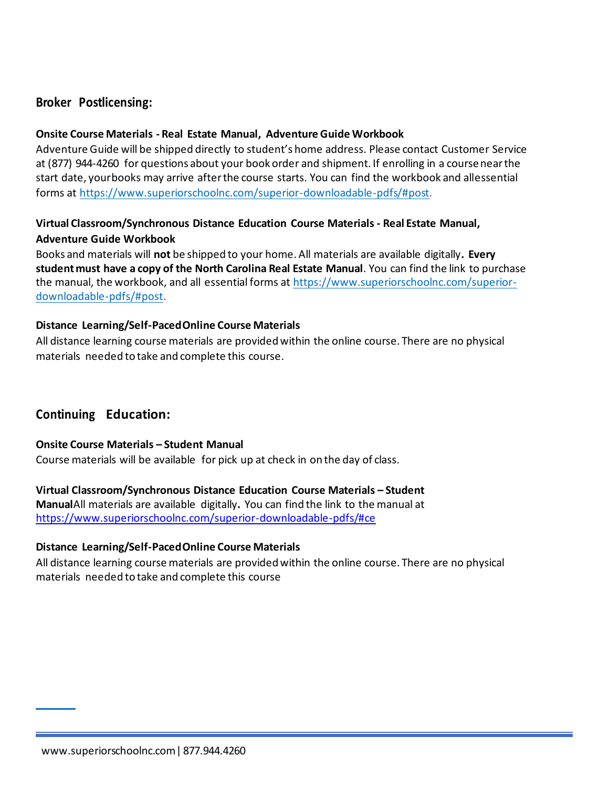# **Broker Postlicensing:**

#### **Onsite Course Materials - Real Estate Manual, Adventure Guide Workbook**

Adventure Guide will be shipped directly to student's home address. Please contact Customer Service at (877) 944-4260 for questions about your book order and shipment. If enrolling in a course near the start date, your books may arrive after the course starts. You can find the workbook and allessential forms at <https://www.superiorschoolnc.com/superior-downloadable-pdfs/#post>.

# **Virtual Classroom/Synchronous Distance Education Course Materials - Real Estate Manual, Adventure Guide Workbook**

Books and materials will **not** be shipped to your home. All materials are available digitally**. Every student must have a copy of the North Carolina Real Estate Manual**. You can find the link to purchase the manual, the workbook, and all essential forms at [https://www.superiorschoolnc.com/superior](https://www.superiorschoolnc.com/superior-downloadable-pdfs/#post)[downloadable-pdfs/#post](https://www.superiorschoolnc.com/superior-downloadable-pdfs/#post).

#### **Distance Learning/Self-Paced Online Course Materials**

All distance learning course materials are provided within the online course. There are no physical materials needed to take and complete this course.

# **Continuing Education:**

#### **Onsite Course Materials – Student Manual**

Course materials will be available for pick up at check in on the day of class.

**Virtual Classroom/Synchronous Distance Education Course Materials – Student Manual** All materials are available digitally**.** You can find the link to the manual at <https://www.superiorschoolnc.com/superior-downloadable-pdfs/#ce>

#### **Distance Learning/Self-Paced Online Course Materials**

All distance learning course materials are provided within the online course. There are no physical materials needed to take and complete this course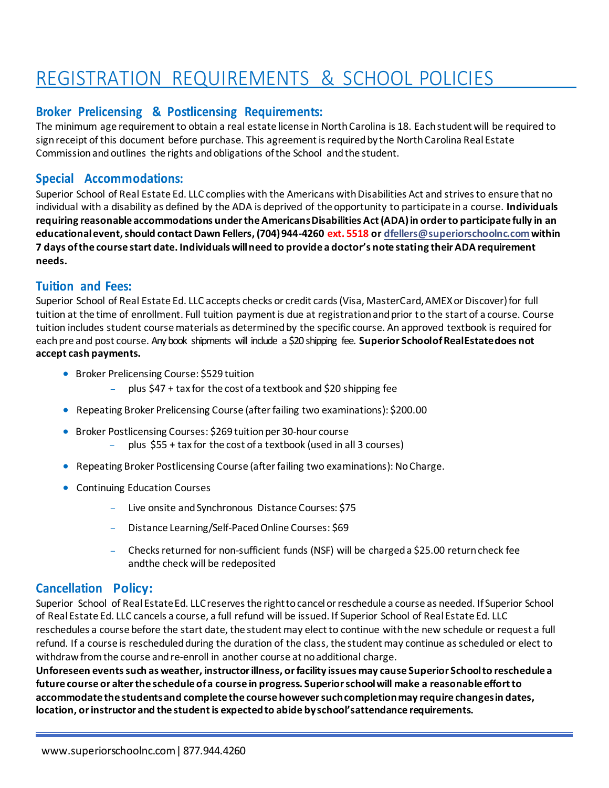# REGISTRATION REQUIREMENTS & SCHOOL POLICIES

### **Broker Prelicensing & Postlicensing Requirements:**

The minimum age requirement to obtain a real estate license in North Carolina is 18. Each student will be required to sign receipt of this document before purchase. This agreement is required by the North Carolina Real Estate Commission and outlines the rights and obligations of the School and the student.

# **Special Accommodations:**

Superior School of Real Estate Ed. LLC complies with the Americans with Disabilities Act and strives to ensure that no individual with a disability as defined by the ADA is deprived of the opportunity to participate in a course. **Individuals requiring reasonable accommodations under the Americans Disabilities Act (ADA) in order to participate fully in an educational event, should contact Dawn Fellers, (704) 944-4260 ext. 5518 o[r dfellers@superiorschoolnc.com w](mailto:dfellers@superiorschoolnc.com)ithin 7 days of the course start date. Individuals will need to provide a doctor's note stating their ADA requirement needs.** 

### **Tuition and Fees:**

Superior School of Real Estate Ed. LLC accepts checks or credit cards (Visa, MasterCard, AMEX or Discover) for full tuition at the time of enrollment. Full tuition payment is due at registration and prior to the start of a course. Course tuition includes student course materials as determined by the specific course. An approved textbook is required for each pre and post course. Any book shipments will include a \$20 shipping fee. **Superior School of Real Estate does not accept cash payments.** 

- Broker Prelicensing Course: \$529 tuition
	- plus \$47 + tax for the cost of a textbook and \$20 shipping fee
- Repeating Broker Prelicensing Course (after failing two examinations): \$200.00
- Broker Postlicensing Courses: \$269 tuition per 30-hour course
	- plus \$55 + tax for the cost of a textbook (used in all 3 courses)
- Repeating Broker Postlicensing Course (after failing two examinations): No Charge.
- Continuing Education Courses
	- Live onsite and Synchronous Distance Courses: \$75
	- Distance Learning/Self-Paced Online Courses: \$69
	- Checks returned for non-sufficient funds (NSF) will be charged a \$25.00 return check fee and the check will be redeposited

#### **Cancellation Policy:**

Superior School of Real Estate Ed. LLC reserves the right to cancel or reschedule a course as needed. If Superior School of Real Estate Ed. LLC cancels a course, a full refund will be issued. If Superior School of Real Estate Ed. LLC reschedules a course before the start date, the student may elect to continue with the new schedule or request a full refund. If a course is rescheduled during the duration of the class, the student may continue as scheduled or elect to withdraw from the course and re-enroll in another course at no additional charge.

**Unforeseen events such as weather, instructor illness, or facility issues may cause Superior School to reschedule a future course or alter the schedule of a course in progress. Superior school will make a reasonable effort to accommodate the students and complete the course however such completion may require changes in dates, location, or instructor and the student is expected to abide by school's attendance requirements.**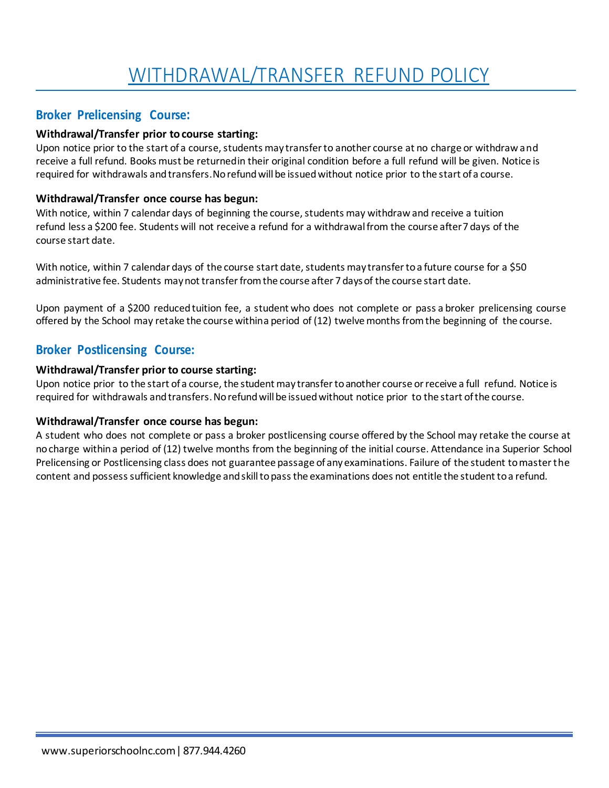# **Broker Prelicensing Course:**

#### **Withdrawal/Transfer prior to course starting:**

Upon notice prior to the start of a course, students may transfer to another course at no charge or withdraw and receive a full refund. Books must be returned in their original condition before a full refund will be given. Notice is required for withdrawals and transfers. No refund will be issued without notice prior to the start of a course.

#### **Withdrawal/Transfer once course has begun:**

With notice, within 7 calendar days of beginning the course, students may withdraw and receive a tuition refund less a \$200 fee. Students will not receive a refund for a withdrawal from the course after 7 days of the course start date.

With notice, within 7 calendar days of the course start date, students may transfer to a future course for a \$50 administrative fee. Students may not transfer from the course after 7 days of the course start date.

Upon payment of a \$200 reduced tuition fee, a student who does not complete or pass a broker prelicensing course offered by the School may retake the course withina period of (12) twelve months from the beginning of the course.

# **Broker Postlicensing Course:**

#### **Withdrawal/Transfer prior to course starting:**

Upon notice prior to the start of a course, the student may transfer to another course or receive a full refund. Notice is required for withdrawals and transfers. No refund will be issued without notice prior to the start of the course.

#### **Withdrawal/Transfer once course has begun:**

A student who does not complete or pass a broker postlicensing course offered by the School may retake the course at no charge within a period of (12) twelve months from the beginning of the initial course. Attendance ina Superior School Prelicensing or Postlicensing class does not guarantee passage of any examinations. Failure of the student to master the content and possess sufficient knowledge and skill to pass the examinations does not entitle the student to a refund.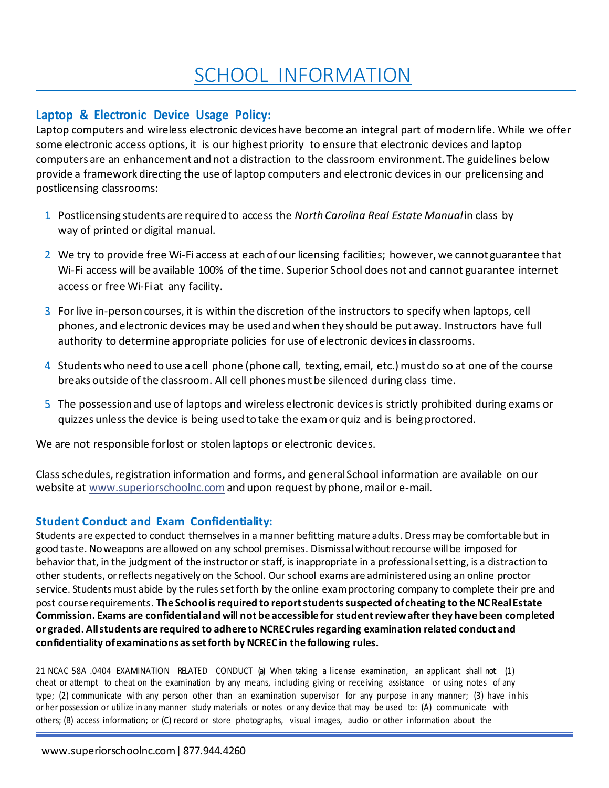# SCHOOL INFORMATION

# **Laptop & Electronic Device Usage Policy:**

Laptop computers and wireless electronic devices have become an integral part of modern life. While we offer some electronic access options, it is our highest priority to ensure that electronic devices and laptop computers are an enhancement and not a distraction to the classroom environment. The guidelines below provide a framework directing the use of laptop computers and electronic devices in our prelicensing and postlicensing classrooms:

- 1. Postlicensing students are required to access the *North Carolina Real Estate Manual* in class by way of printed or digital manual.
- 2. We try to provide free Wi-Fi access at each of our licensing facilities; however, we cannot guarantee that Wi-Fi access will be available 100% of the time. Superior School does not and cannot guarantee internet access or free Wi-Fiat any facility.
- 3 For live in-person courses, it is within the discretion of the instructors to specify when laptops, cell phones, and electronic devices may be used and when they should be put away. Instructors have full authority to determine appropriate policies for use of electronic devices in classrooms.
- 4. Students who need to use a cell phone (phone call, texting, email, etc.) must do so at one of the course breaks outside of the classroom. All cell phones must be silenced during class time.
- 5. The possession and use of laptops and wireless electronic devices is strictly prohibited during exams or quizzes unless the device is being used to take the exam or quiz and is being proctored.

We are not responsible for lost or stolen laptops or electronic devices.

Class schedules, registration information and forms, and general School information are available on our website at [www.superiorschoolnc.com a](http://www.superiorschoolnc.com/)nd upon request by phone, mail or e-mail.

# **Student Conduct and Exam Confidentiality:**

Students are expected to conduct themselves in a manner befitting mature adults. Dress may be comfortable but in good taste. No weapons are allowed on any school premises. Dismissal without recourse will be imposed for behavior that, in the judgment of the instructor or staff, is inappropriate in a professional setting, is a distraction to other students, or reflects negatively on the School. Our school exams are administered using an online proctor service. Students must abide by the rules set forth by the online exam proctoring company to complete their pre and post course requirements. **The School is required to report students suspected of cheating to the NC Real Estate Commission. Exams are confidential and will not be accessible for student review after they have been completed or graded. All students are required to adhere to NCREC rules regarding examination related conduct and confidentiality of examinations as set forth by NCREC in the following rules.** 

21 NCAC 58A .0404 EXAMINATION RELATED CONDUCT (a) When taking a license examination, an applicant shall not (1) cheat or attempt to cheat on the examination by any means, including giving or receiving assistance or using notes of any type; (2) communicate with any person other than an examination supervisor for any purpose in any manner; (3) have in his or her possession or utilize in any manner study materials or notes or any device that may be used to: (A) communicate with others; (B) access information; or (C) record or store photographs, visual images, audio or other information about the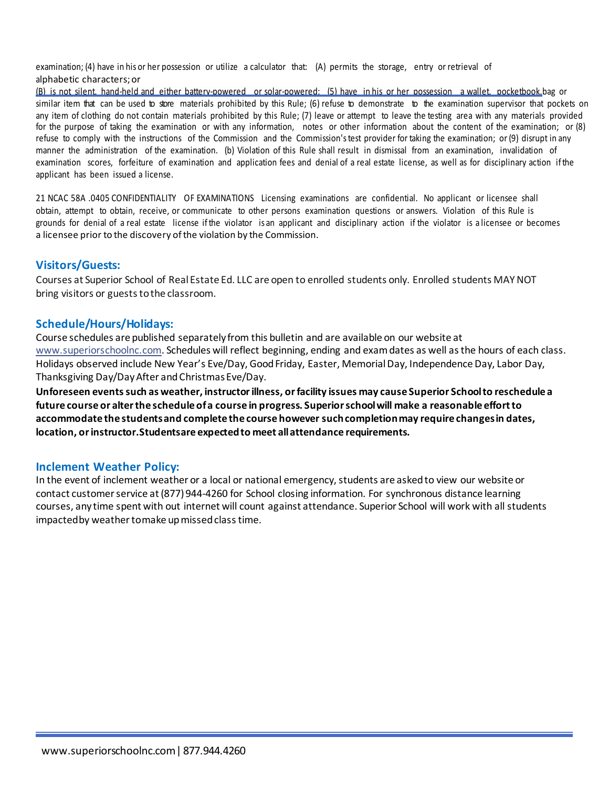examination; (4) have in his or her possession or utilize a calculator that: (A) permits the storage, entry or retrieval of alphabetic characters; or

(B) is not silent, hand-held and either battery-powered or solar-powered; (5) have in his or her possession a wallet, pocketbook,bag or similar item that can be used to store materials prohibited by this Rule; (6) refuse to demonstrate to the examination supervisor that pockets on any item of clothing do not contain materials prohibited by this Rule; (7) leave or attempt to leave the testing area with any materials provided for the purpose of taking the examination or with any information, notes or other information about the content of the examination; or (8) refuse to comply with the instructions of the Commission and the Commission's test provider for taking the examination; or (9) disrupt in any manner the administration of the examination. (b) Violation of this Rule shall result in dismissal from an examination, invalidation of examination scores, forfeiture of examination and application fees and denial of a real estate license, as well as for disciplinary action if the applicant has been issued a license.

21 NCAC 58A .0405 CONFIDENTIALITY OF EXAMINATIONS Licensing examinations are confidential. No applicant or licensee shall obtain, attempt to obtain, receive, or communicate to other persons examination questions or answers. Violation of this Rule is grounds for denial of a real estate license if the violator is an applicant and disciplinary action if the violator is a licensee or becomes a licensee prior to the discovery of the violation by the Commission.

#### **Visitors/Guests:**

Courses at Superior School of Real Estate Ed. LLC are open to enrolled students only. Enrolled students MAY NOT bring visitors or guests to the classroom.

#### **Schedule/Hours/Holidays:**

Course schedules are published separately from this bulletin and are available on our website at [www.superiorschoolnc.com. S](http://www.superiorschoolnc.com/)chedules will reflect beginning, ending and exam dates as well as the hours of each class. Holidays observed include New Year's Eve/Day, Good Friday, Easter, Memorial Day, Independence Day, Labor Day, Thanksgiving Day/Day After and Christmas Eve/Day.

**Unforeseen events such as weather, instructor illness, or facility issues may cause Superior School to reschedule a future course or alter the schedule of a course in progress. Superior school will make a reasonable effort to accommodate the students and complete the course however such completion may require changes in dates, location, or instructor. Students are expected to meet all attendance requirements.** 

#### **Inclement Weather Policy:**

In the event of inclement weather or a local or national emergency, students are asked to view our website or contact customer service at (877) 944-4260 for School closing information. For synchronous distance learning courses, any time spent with out internet will count against attendance. Superior School will work with all students impacted by weather to make up missed class time.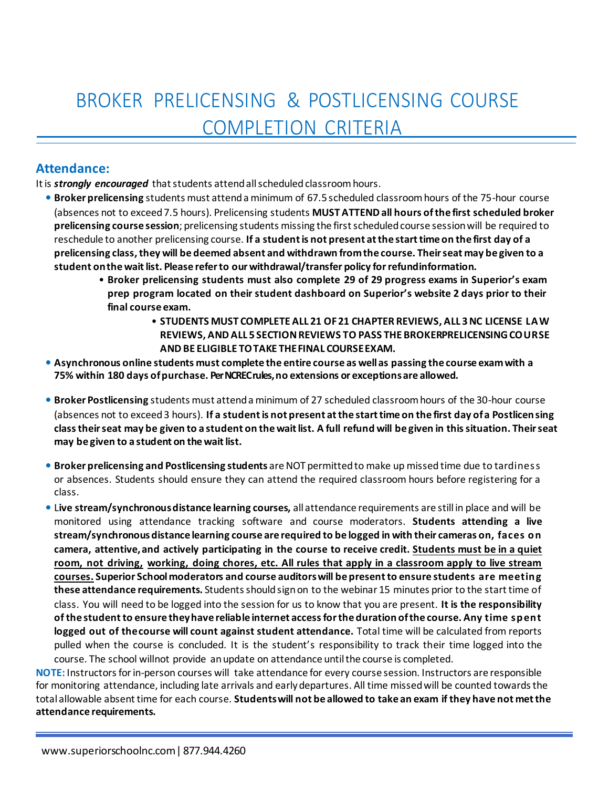# BROKER PRELICENSING & POSTLICENSING COURSE COMPLETION CRITERIA

### **Attendance:**

Itis *strongly encouraged* that students attend all scheduled classroom hours.

- **• Broker prelicensing** students must attend a minimum of 67.5 scheduled classroom hours of the 75-hour course (absences not to exceed 7.5 hours). Prelicensing students **MUST ATTEND all hours of the first scheduled broker prelicensing course session**; prelicensing students missing the first scheduled course session will be required to reschedule to another prelicensing course. **If a student is not present at the start time on the first day of a prelicensing class, they will be deemed absent and withdrawn from the course. Their seat may be given to a student on the wait list. Please refer to our withdrawal/transfer policy for refund information.** 
	- **Broker prelicensing students must also complete 29 of 29 progress exams in Superior's exam prep program located on their student dashboard on Superior's website 2 days prior to their final course exam.** 
		- **STUDENTS MUST COMPLETE ALL 21 OF 21 CHAPTER REVIEWS, ALL 3 NC LICENSE LAW REVIEWS, AND ALL 5 SECTION REVIEWS TO PASS THE BROKERPRELICENSING COURSE AND BE ELIGIBLE TO TAKE THE FINAL COURSE EXAM.**
- **• Asynchronous online students must complete the entire course as well as passing the course exam with a 75% within 180 days of purchase. Per NCREC rules, no extensions or exceptions are allowed.**
- **• Broker Postlicensing** students must attend a minimum of 27 scheduled classroom hours of the 30-hour course (absences not to exceed 3 hours). **If a student is not present at the start time on the first day of a Postlicen sing class their seat may be given to a student on the wait list. A full refund will be given in this situation. Their seat may be given to a student on the wait list.**
- **• Broker prelicensing and Postlicensing students** are NOT permitted to make up missed time due to tardiness or absences. Students should ensure they can attend the required classroom hours before registering for a class.
- **•** L**ive stream/synchronous distance learning courses,** all attendance requirements are still in place and will be monitored using attendance tracking software and course moderators. **Students attending a live stream/synchronous distance learning course are required to be logged in with their cameras on, faces on camera, attentive, and actively participating in the course to receive credit. Students must be in a quiet room, not driving, working, doing chores, etc. All rules that apply in a classroom apply to live stream courses. Superior School moderators and course auditors will be present to ensure students are meeting these attendance requirements.** Students should sign on to the webinar 15 minutes prior to the start time of class. You will need to be logged into the session for us to know that you are present. **It is the responsibility of the student to ensure they have reliable internet access for the duration of the course. Any time spent logged out of the course will count against student attendance.** Total time will be calculated from reports pulled when the course is concluded. It is the student's responsibility to track their time logged into the course. The school willnot provide an update on attendance until the course is completed.

**NOTE:** Instructors for in-person courses will take attendance for every course session. Instructors are responsible for monitoring attendance, including late arrivals and early departures. All time missed will be counted towards the total allowable absent time for each course. **Students will not be allowed to take an exam if they have not met the attendance requirements.**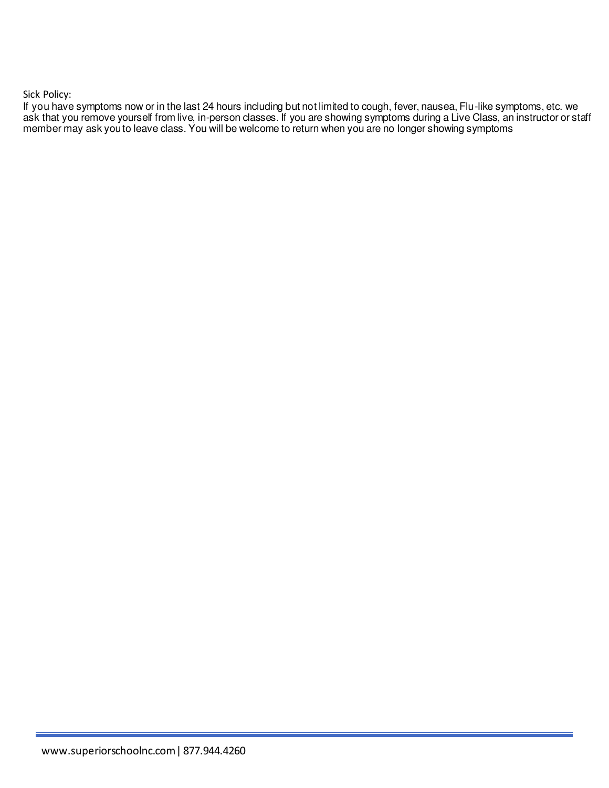Sick Policy:

If you have symptoms now or in the last 24 hours including but not limited to cough, fever, nausea, Flu-like symptoms, etc. we ask that you remove yourself from live, in-person classes. If you are showing symptoms during a Live Class, an instructor or staff member may ask you to leave class. You will be welcome to return when you are no longer showing symptoms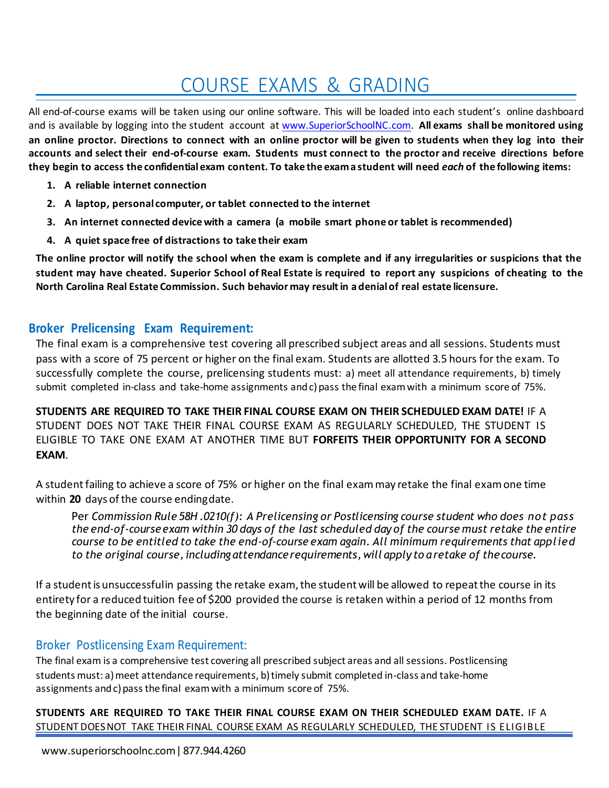# COURSE EXAMS & GRADING

All end-of-course exams will be taken using our online software. This will be loaded into each student's online dashboard and is available by logging into the student account at [www.SuperiorSchoolNC.com.](http://www.superiorschoolnc.com/) **All exams shall be monitored using an online proctor. Directions to connect with an online proctor will be given to students when they log into their accounts and select their end-of-course exam. Students must connect to the proctor and receive directions before they begin to access the confidential exam content. To take the exam a student will need** *each* **of the following items:** 

- **1. A reliable internet connection**
- **2. A laptop, personal computer, or tablet connected to the internet**
- **3. An internet connected device with a camera (a mobile smart phone or tablet is recommended)**
- **4. A quiet space free of distractions to take their exam**

**The online proctor will notify the school when the exam is complete and if any irregularities or suspicions that the student may have cheated. Superior School of Real Estate is required to report any suspicions of cheating to the North Carolina Real Estate Commission. Such behavior may result in a denial of real estate licensure.** 

### **Broker Prelicensing Exam Requirement:**

The final exam is a comprehensive test covering all prescribed subject areas and all sessions. Students must pass with a score of 75 percent or higher on the final exam. Students are allotted 3.5 hours for the exam. To successfully complete the course, prelicensing students must: a) meet all attendance requirements, b) timely submit completed in-class and take-home assignments and c) pass the final exam with a minimum score of 75%.

**STUDENTS ARE REQUIRED TO TAKE THEIR FINAL COURSE EXAM ON THEIR SCHEDULED EXAM DATE!** IF A STUDENT DOES NOT TAKE THEIR FINAL COURSE EXAM AS REGULARLY SCHEDULED, THE STUDENT IS ELIGIBLE TO TAKE ONE EXAM AT ANOTHER TIME BUT **FORFEITS THEIR OPPORTUNITY FOR A SECOND EXAM**.

A student failing to achieve a score of 75% or higher on the final exam may retake the final exam one time within **20** days of the course ending date.

Per *Commission Rule 58H .0210(f): A Prelicensing or Postlicensing course student who does not pass the end-of-course exam within 30 days of the last scheduled day of the course must retake the entire course to be entitled to take the end-of-course exam again. All minimum requirements that applied to the original course, including attendance requirements, will apply to a retake of the course.* 

If a student is unsuccessful in passing the retake exam, the student will be allowed to repeat the course in its entirety for a reduced tuition fee of \$200 provided the course is retaken within a period of 12 months from the beginning date of the initial course.

# Broker Postlicensing Exam Requirement:

The final exam is a comprehensive test covering all prescribed subject areas and all sessions. Postlicensing students must: a) meet attendance requirements, b) timely submit completed in-class and take-home assignments and c) pass the final exam with a minimum score of 75%.

**STUDENTS ARE REQUIRED TO TAKE THEIR FINAL COURSE EXAM ON THEIR SCHEDULED EXAM DATE.** IF A STUDENT DOES NOT TAKE THEIR FINAL COURSE EXAM AS REGULARLY SCHEDULED, THE STUDENT IS ELIGIBLE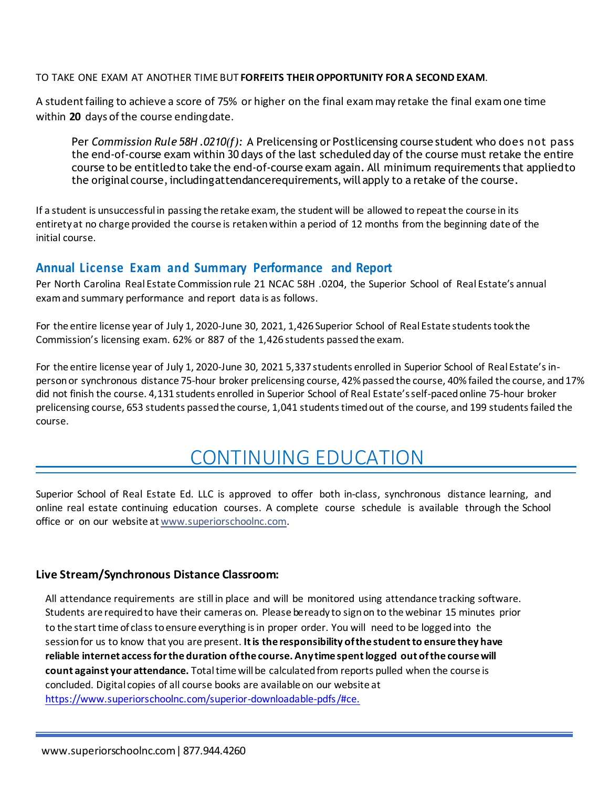#### TO TAKE ONE EXAM AT ANOTHER TIME BUT **FORFEITS THEIR OPPORTUNITY FOR A SECOND EXAM**.

A student failing to achieve a score of 75% or higher on the final exam may retake the final exam one time within **20** days of the course ending date.

Per *Commission Rule 58H .0210(f):* A Prelicensing or Postlicensing course student who does not pass the end-of-course exam within 30 days of the last scheduled day of the course must retake the entire course to be entitled to take the end-of-course exam again. All minimum requirements that applied to the original course, including attendance requirements, will apply to a retake of the course.

If a student is unsuccessful in passing the retake exam, the student will be allowed to repeat the course in its entirety at no charge provided the course is retaken within a period of 12 months from the beginning date of the initial course.

### **Annual License Exam and Summary Performance and Report**

Per North Carolina Real Estate Commission rule 21 NCAC 58H .0204, the Superior School of Real Estate's annual exam and summary performance and report data is as follows.

For the entire license year of July 1, 2020-June 30, 2021, 1,426 Superior School of Real Estate students took the Commission's licensing exam. 62% or 887 of the 1,426 students passed the exam.

For the entire license year of July 1, 2020-June 30, 2021 5,337 students enrolled in Superior School of Real Estate's inperson or synchronous distance 75-hour broker prelicensing course, 42% passed the course, 40% failed the course, and 17% did not finish the course. 4,131 students enrolled in Superior School of Real Estate's self-paced online 75-hour broker prelicensing course, 653 students passed the course, 1,041 students timed out of the course, and 199 students failed the course.

# CONTINUING EDUCATION

Superior School of Real Estate Ed. LLC is approved to offer both in-class, synchronous distance learning, and online real estate continuing education courses. A complete course schedule is available through the School office or on our website at [www.superiorschoolnc.com.](http://www.superiorschoolnc.com/)

#### **Live Stream/Synchronous Distance Classroom:**

All attendance requirements are still in place and will be monitored using attendance tracking software. Students are required to have their cameras on. Please be ready to sign on to the webinar 15 minutes prior to the start time of class to ensure everything isin proper order. You will need to be logged into the session for us to know that you are present. **It is the responsibility of the student to ensure they have reliable internet access for the duration of the course. Any time spent logged out of the course will count against your attendance.** Total time will be calculated from reports pulled when the course is concluded. Digital copies of all course books are available on our website at [https://www.superiorschoolnc.com/superior-downloadable-pdfs /#ce.](https://www.superiorschoolnc.com/superior-downloadable-pdfs%20/#ce.)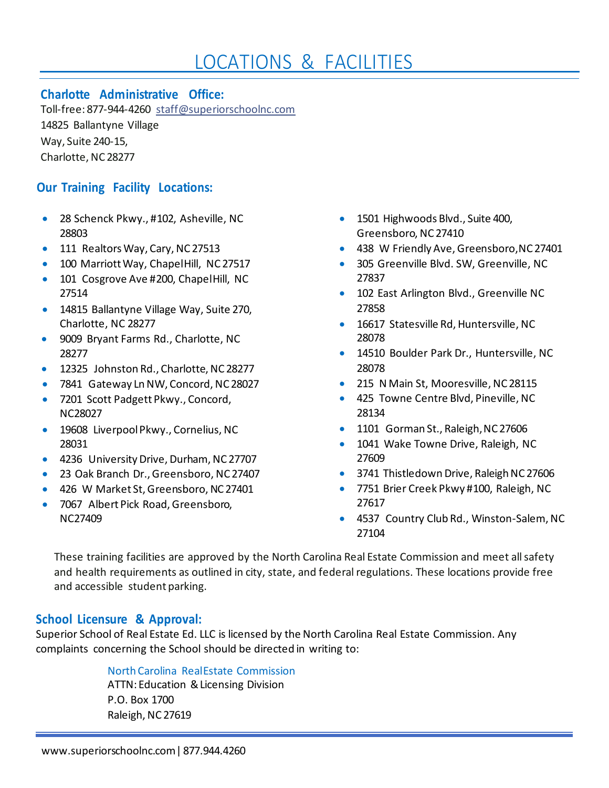# LOCATIONS & FACILITIES

### **Charlotte Administrative Office:**

Toll-free: 877-944-4260 [staff@superiorschoolnc.com](mailto:staff@superiorschoolnc.com) 14825 Ballantyne Village Way, Suite 240-15, Charlotte, NC 28277

# **Our Training Facility Locations:**

- 28 Schenck Pkwy., #102, Asheville, NC 28803
- 111 Realtors Way, Cary, NC 27513
- 100 Marriott Way, Chapel Hill, NC 27517
- 101 Cosgrove Ave #200, Chapel Hill, NC 27514
- 14815 Ballantyne Village Way, Suite 270, Charlotte, NC 28277
- 9009 Bryant Farms Rd., Charlotte, NC 28277
- 12325 Johnston Rd., Charlotte, NC 28277
- 7841 Gateway Ln NW, Concord, NC 28027
- 7201 Scott Padgett Pkwy., Concord, NC28027
- 19608 Liverpool Pkwy., Cornelius, NC 28031
- 4236 University Drive, Durham, NC 27707
- 23 Oak Branch Dr., Greensboro, NC 27407
- 426 W Market St, Greensboro, NC 27401
- 7067 Albert Pick Road, Greensboro, NC27409
- 1501 Highwoods Blvd., Suite 400, Greensboro, NC 27410
- 438 W Friendly Ave, Greensboro, NC 27401
- 305 Greenville Blvd. SW, Greenville, NC 27837
- 102 East Arlington Blvd., Greenville NC 27858
- 16617 Statesville Rd, Huntersville, NC 28078
- 14510 Boulder Park Dr., Huntersville, NC 28078
- 215 N Main St, Mooresville, NC 28115
- 425 Towne Centre Blvd, Pineville, NC 28134
- 1101 Gorman St., Raleigh, NC 27606
- 1041 Wake Towne Drive, Raleigh, NC 27609
- 3741 Thistledown Drive, Raleigh NC 27606
- 7751 Brier Creek Pkwy #100, Raleigh, NC 27617
- 4537 Country Club Rd., Winston-Salem, NC 27104

These training facilities are approved by the North Carolina Real Estate Commission and meet all safety and health requirements as outlined in city, state, and federal regulations. These locations provide free and accessible student parking.

# **School Licensure & Approval:**

Superior School of Real Estate Ed. LLC is licensed by the North Carolina Real Estate Commission. Any complaints concerning the School should be directed in writing to:

#### North Carolina Real Estate Commission

ATTN: Education & Licensing Division P.O. Box 1700 Raleigh, NC 27619